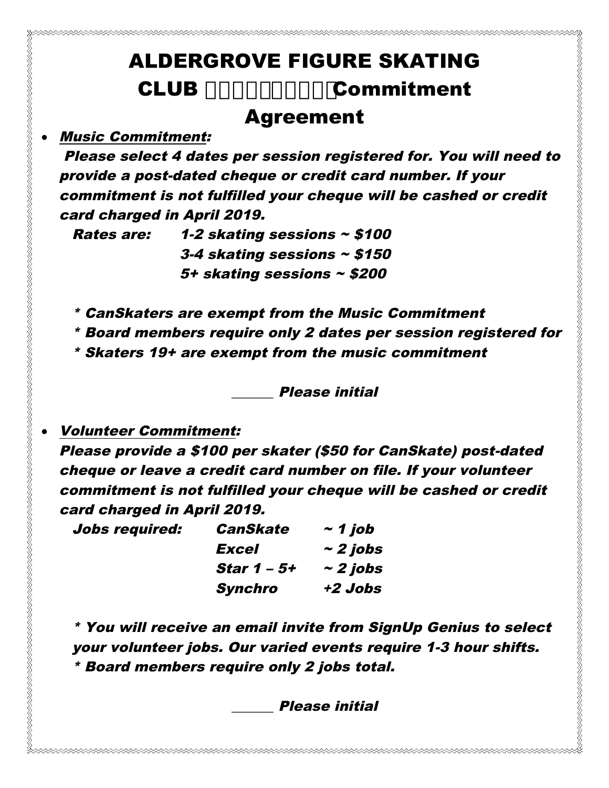## ALDERGROVE FIGURE SKATING CLUB ' %&. \$' % % Commitment

## Agreement

## • Music Commitment:

Please select 4 dates per session registered for. You will need to provide a post-dated cheque or credit card number. If your commitment is not fulfilled your cheque will be cashed or credit card charged in April 2019.

Rates are:  $1-2$  skating sessions  $\sim$  \$100 3-4 skating sessions  $\sim$  \$150 5+ skating sessions ~ \$200

- \* CanSkaters are exempt from the Music Commitment
- \* Board members require only 2 dates per session registered for
- \* Skaters 19+ are exempt from the music commitment

\_\_\_\_\_\_ Please initial

## • Volunteer Commitment:

Please provide a \$100 per skater (\$50 for CanSkate) post-dated cheque or leave a credit card number on file. If your volunteer commitment is not fulfilled your cheque will be cashed or credit card charged in April 2019.

| Jobs required: | <b>CanSkate</b>    | $\sim$ 1 job  |
|----------------|--------------------|---------------|
|                | Excel              | $\sim$ 2 jobs |
|                | <b>Star 1 – 5+</b> | $\sim$ 2 jobs |
|                | <b>Synchro</b>     | +2 Jobs       |

\* You will receive an email invite from SignUp Genius to select your volunteer jobs. Our varied events require 1-3 hour shifts. \* Board members require only 2 jobs total.

\_\_\_\_\_\_ Please initial